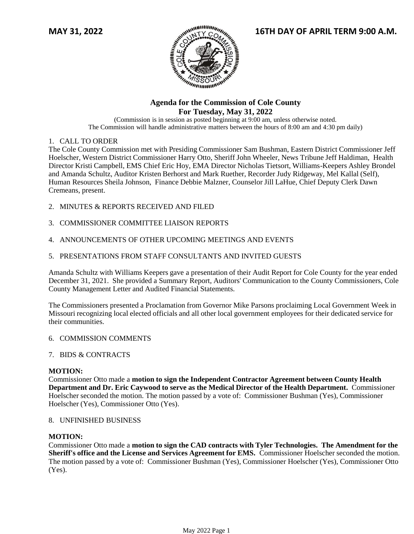

# **Agenda for the Commission of Cole County For Tuesday, May 31, 2022**

(Commission is in session as posted beginning at 9:00 am, unless otherwise noted. The Commission will handle administrative matters between the hours of 8:00 am and 4:30 pm daily)

# 1. CALL TO ORDER

The Cole County Commission met with Presiding Commissioner Sam Bushman, Eastern District Commissioner Jeff Hoelscher, Western District Commissioner Harry Otto, Sheriff John Wheeler, News Tribune Jeff Haldiman, Health Director Kristi Campbell, EMS Chief Eric Hoy, EMA Director Nicholas Tietsort, Williams-Keepers Ashley Brondel and Amanda Schultz, Auditor Kristen Berhorst and Mark Ruether, Recorder Judy Ridgeway, Mel Kallal (Self), Human Resources Sheila Johnson, Finance Debbie Malzner, Counselor Jill LaHue, Chief Deputy Clerk Dawn Cremeans, present.

- 2. MINUTES & REPORTS RECEIVED AND FILED
- 3. COMMISSIONER COMMITTEE LIAISON REPORTS
- 4. ANNOUNCEMENTS OF OTHER UPCOMING MEETINGS AND EVENTS
- 5. PRESENTATIONS FROM STAFF CONSULTANTS AND INVITED GUESTS

Amanda Schultz with Williams Keepers gave a presentation of their Audit Report for Cole County for the year ended December 31, 2021. She provided a Summary Report, Auditors' Communication to the County Commissioners, Cole County Management Letter and Audited Financial Statements.

The Commissioners presented a Proclamation from Governor Mike Parsons proclaiming Local Government Week in Missouri recognizing local elected officials and all other local government employees for their dedicated service for their communities.

# 6. COMMISSION COMMENTS

# 7. BIDS & CONTRACTS

# **MOTION:**

Commissioner Otto made a **motion to sign the Independent Contractor Agreement between County Health Department and Dr. Eric Caywood to serve as the Medical Director of the Health Department.** Commissioner Hoelscher seconded the motion. The motion passed by a vote of: Commissioner Bushman (Yes), Commissioner Hoelscher (Yes), Commissioner Otto (Yes).

### 8. UNFINISHED BUSINESS

### **MOTION:**

Commissioner Otto made a **motion to sign the CAD contracts with Tyler Technologies. The Amendment for the Sheriff's office and the License and Services Agreement for EMS.** Commissioner Hoelscher seconded the motion. The motion passed by a vote of: Commissioner Bushman (Yes), Commissioner Hoelscher (Yes), Commissioner Otto (Yes).